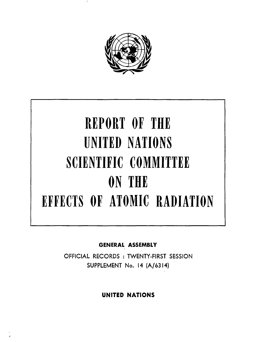

# REPORT OF THE UNITED NATIONS SCIENTIFIC COMMITTEE ON THE EFFECTS OF ATOMIC RADIATION

GENERAL ASSEMBLY

OFFICIAL RECORDS : TWENTY-FIRST SESSION SUPPLEMENT No. 14 (A/6314)

UNITED NATIONS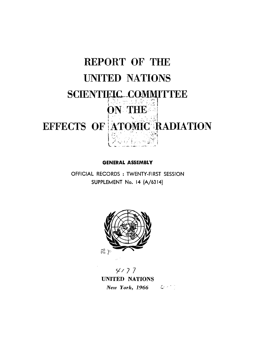

**GENERAL ASSEMBLY** 

OFFICIAL RECORDS : TWENTY-FIRST SESSION SUPPLEMENT No. 14 (A/6314)



 $4/77$ UNITED NATIONS New York,  $1966$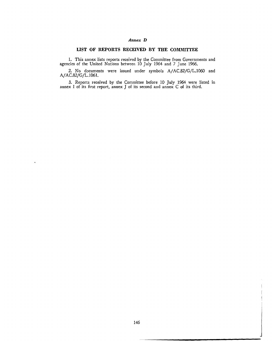## *Annex* **D**

## **UST OF REPORTS RECEIVED BY THE COMMITTEE**

1. This annex lists reports received by the Committee from Governments and agencies of the United Nations between 10 July 1964 and *7* June 1966.

2. No documents were issued under symbols A/AC.82/G/L.1060 and A/ AC.82/G/L.1061.

3. Reports received by the Committee before 10 July 1964 were listed in annex I of its first report, annex J of its second and annex C of its third.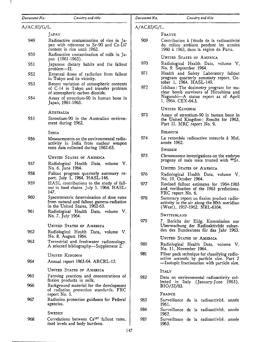949

950

951

952

953

954

955

A/AC.82/G/L.

#### *Document No. Country and title*

pan with reference to Sr-90 and Cs-137

Radioactive contamination of milk in Ja-

Japanese dietary habits and the fallout

External doses of radiation from fallout

Recent variation of atmospheric contents of C-14 in Tokyo and transfer problem

Assay of strontium-90 in human bone in

content in rice until 1962.

in Tokyo and its vicinity.

of atmospheric carbon dioxide.

pan (1961-1963).

Japan, 1961-1963.

problem-II.

Radioactive contamination of rice in Ja-A/ AC.82/G/L. FRANCE

969 Contribution à l'étude de la radioactivité du milieu ambiant pendant les années 1960 a 1963, dans la region de Paris.

UNITED STATES OF AMERICA

- 970 Radiological Health Data, volume V, No. 9, September 1964.
- 971 Health and Safety Laboratory fallout program quarterly summary report, October 1, 1964. HASL-149.
- *972*  Ichiban: The dosimetry program for nuclear bomb survivors of Hiroshima and Nagasaki-A status report as of April 1, 1964. CEX-64.3.

UNITED KINGDOM

973 Assay of strontium-90 in human bone in the United Kingdom; Results for 1963, Part II. MRC report No. 9.

BELGIUM

974 La retombée radioactive mesurée à Mol, annee 1962.

**SWEDEN** 

975 Chromosome investigations on the embryo progeny of male mice treated with  $90\text{Sr}$ .

UNITED STATES OF AMERICA

- 976 Radiological Health Data, volume V, No. 10, October 1964.
- 977 Revised fallout estimates for 1964-1965 and verification of the 1963 predictions. FRC report No. 6.
- 978 Summary report on fission product radioactivity in the air along the 80th meridian (West), 1957-1962. NRL-6104.

SWITZERLAXD

979 *7.* Bericht der Eidg. Kommission zur Uberwachung der Radioaktivitat zuhanden des Bundesrates fiir das Jahr 1963.

UNITED STATES OF AMERICA

- 980 Radiological Health Data, volume V, No. 11, November 1964.
- 981 Filter pack technique for classifying radioactive aerosols by particle size. Part 2 -Isotopic fractionation with particle size.

ITALY

982 Data on environmental radioactivity collected in Italy (January-June 1963). BI0/32/63.

FRANCE

- 983 Surveillance de la radioactivité, année 1961.
- 984 Surveillance de la radioactivité, année 1962.
- 985 Surveillance de la radioactivité, année 1963.

#### Strontium-90 in the Australian environment during 1962.

AUSTRALIA

JAPAN

INDIA

956 Measurements on the environmental radioactivity in India from nuclear weapon tests data collected during 1962-63.

UNITED STATES OF AMERICA

- 957 Radiological Health Data, volume V, No. 6, June 1964.
- 958 Fallout program quarterly summary report, July 1, 1964. HASL-146.
- 959 HASL contributions to the study of fallout in food chains, July 1, 1964. HASL-147.
- 960 Spectrometric determination of dose rates from natural and fallout gamma-radiation in the United States, 1962-63.
- 961 Radiological Health Data, volume V, No. 7, July 1964.

UNITED STATES OF AMERICA

- 962 Radiological Health Data, volume V, No. 8, August 1964.
- 963 Terrestrial and freshwater radioecology. A selected bibliography-Supplement 2.

UNITED KINGDOM

964 Annual report 1963-64. ARCRL-12.

UNITED STATES OF AMERICA

- 965 Farming practices and concentrations of fission products in milk.
- 966 Background material for the development of radiation protection standards. FRC report No. 5.
- 967 Radiation protection guidance for Federal agencies.

**SWEDEN** 

968 Correlations between Cs<sup>137</sup> fallout rates, food levels and body burdens.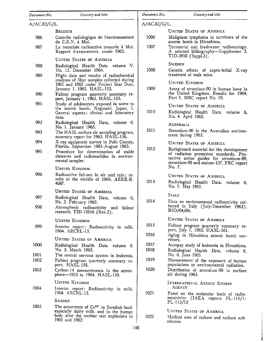| Document No. | Country and title                                                                                       | Document No. | Country and title                                                                                                             |
|--------------|---------------------------------------------------------------------------------------------------------|--------------|-------------------------------------------------------------------------------------------------------------------------------|
| A/AC.82/G/L. |                                                                                                         | A/AC.82/G/L. |                                                                                                                               |
|              | Belgium                                                                                                 |              | UNITED STATES OF AMERICA                                                                                                      |
| 986          | Contrôle radiologique de l'environnement<br>du C.E.N. à Mol.                                            | 1006         | Malignant lymphoma in survivors of the<br>atomic bomb in Hiroshima.                                                           |
| 987          | La retombée radioactive mesurée à Mol.<br>Rapport d'avancement, année 1963.                             | 1007         | Terrestrial and freshwater radioecology.<br>A selected bibliography—Supplement 3.<br>TID-3910 (Suppl.3).                      |
|              | <b>UNITED STATES OF AMERICA</b>                                                                         |              |                                                                                                                               |
| 988          | Radiological Health Data, volume V,<br>No. 12. December 1964.                                           | 1008         | SWEDEN<br>Genetic effects of supra-lethal X-ray                                                                               |
| 989          | Flight data and results of radiochemical<br>analyses of filter samples collected during                 |              | treatment of male mice.                                                                                                       |
|              | 1961 and 1962 under Project Star Dust,                                                                  |              | UNITED KINGDOM                                                                                                                |
| 990          | January 1, 1965. HASL-153.<br>Fallout program quarterly summary re-<br>port, January 1, 1965. HASL-155. | 1009         | Assay of strontium-90 in human bone in<br>the United Kingdom. Results for 1964,<br>Part I. MRC report No. 10.                 |
| 991          | Study of adolescents exposed in utero to                                                                |              | <b>UNITED STATES OF AMERICA</b>                                                                                               |
|              | the atomic bomb, Nagasaki, Japan. 1.<br>General aspects: clinical and laboratory                        | 1010         | Radiological Health Data, volume 6,<br>No. 4, April 1965.                                                                     |
| 992          | data.<br>Radiological Health Data, volume 6,                                                            |              | AUSTRALIA                                                                                                                     |
| 993          | No. 1, January 1965.<br>The HASL surface air sampling program,                                          | 1011         | Strontium-90 in the Australian environ-<br>ment during 1963.                                                                  |
| 994          | summary report for 1963. HASL-156.<br>X-ray equipment survey in Polk County,                            |              | <b>UNITED STATES OF AMERICA</b>                                                                                               |
|              | Florida, September 1961-August 1963.                                                                    | 1012         | Background material for the development                                                                                       |
| 995          | Procedure for determination of stable<br>elements and radionuclides in environ-<br>mental samples.      |              | of radiation protection standards. Pro-<br>tective action guides for strontium-89,<br>strontium-90 and cesium-137. FRC report |
|              | UNITED KINGDOM                                                                                          |              | No. 7.                                                                                                                        |
| 996          | Radioactive fall-out in air and rain; re-<br>sults to the middle of 1964. AERE-R-<br>4687.              | 1013         | <b>UNITED STATES OF AMERICA</b><br>Radiological Health Data, volume 6,<br>No. 5, May 1965.                                    |
|              | <b>UNITED STATES OF AMERICA</b>                                                                         |              |                                                                                                                               |
| 997          | Radiological Health Data, volume 6,<br>No. 2, February 1965.                                            | 1014         | ITALY<br>Data on environmental radioactivity col-                                                                             |
| 998          | Atmospheric radioactivity and fallout<br>research. TID-12616 (Rev.2).                                   |              | lected in Italy (July-December 1963).<br>BIO/04/64.                                                                           |
|              | UNITED KINGDOM                                                                                          |              | <b>UNITED STATES OF AMERICA</b>                                                                                               |
| 999          | Interim report: Radioactivity in milk,<br>1964. ARCRL-13.                                               | 1015<br>1016 | Fallout program quarterly summary re-<br>port, July 1, 1965. HASL-161.                                                        |
|              | <b>UNITED STATES OF AMERICA</b>                                                                         |              | Aging in Hiroshima atomic bomb sur-<br>vivors.                                                                                |
| 1000         | Radiological Health Data, volume 6,<br>No. 3. March 1965.                                               | 1017<br>1018 | Autopsy study of leukemia in Hiroshima.<br>Radiological Health Data, volume 6,                                                |
| 1001         | The central nervous system in leukemia.                                                                 |              | No. 6, June 1965.                                                                                                             |
| 1002         | Fallout program quarterly summary re-<br>port. HASL-158.                                                | 1019         | Measurement of the exposure of human<br>populations to environmental radiation.                                               |
| 1003         | Carbon-14 measurements in the atmos-<br>phere-1953 to 1964. HASL-159.                                   | 1020         | Distribution of strontium-90 in surface<br>air during 1963.                                                                   |
|              | UNITED KINGDOM                                                                                          |              | INTERNATIONAL ATOMIC ENERGY                                                                                                   |
| 1004         | Interim report: Radioactivity in milk,<br>1964. ARCRL-13.                                               | 1021         | AGENCY                                                                                                                        |
|              | <b>SWEDEN</b>                                                                                           |              | Panel on the molecular basis of radio-<br>sensitivity (IAEA reports PL-115/1-                                                 |
| 1005         | The occurrence of Cs <sup>137</sup> in Swedish food.                                                    |              | PL-115/12                                                                                                                     |
|              | especially dairy milk, and in the human<br>body after the nuclear test explosions in<br>1961 and 1962.  |              | UNITED STATES OF AMERICA                                                                                                      |
|              |                                                                                                         | 1022         | Medical uses of radium and radium sub-<br>stitutes.                                                                           |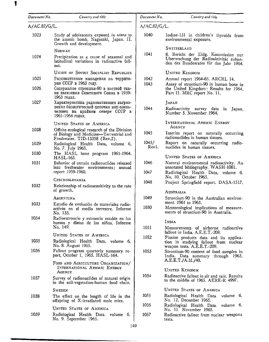| Document No. | Country and title                                                                                                                       | $Document\,No.$ | Country and title                                                                                                                     |
|--------------|-----------------------------------------------------------------------------------------------------------------------------------------|-----------------|---------------------------------------------------------------------------------------------------------------------------------------|
| A/AC.82/G/L. |                                                                                                                                         | A/AC.82/G/L.    |                                                                                                                                       |
| 1023         | Study of adolescents exposed in utero to<br>the atomic bomb, Nagasaki, Japan. II.<br>Growth and development.                            | 1040            | Iodine-131 in children's thyroids from<br>environmental exposure.                                                                     |
| 1024         | NORWAY<br>Precipitation as a cause of seasonal and<br>latitudinal variations in radioactive fall-<br>out.                               | 1041            | SWITZERLAND<br>8. Bericht der Eidg. Kommission zur<br>Uberwachung der Radioaktivität zuhan-<br>den des Bundesrates für das Jahr 1964. |
|              | UNION OF SOVIET SOCIALIST REPUBLICS                                                                                                     |                 | UNITED KINGDOM                                                                                                                        |
| 1025<br>1026 | Радиоактивные выпадения на террито-<br>рии СССР в 1963 году.<br>Содержание стронция-90 в костной тка-                                   | 1042<br>1043    | Annual report 1964-65. ARCRL 14.<br>Assay of strontium-90 in human bone in<br>the United Kingdom; Results for 1964,                   |
|              | ни населения Советского Союза в 1959-<br>1963 годах.                                                                                    |                 | Part II. MRC report No. 11.                                                                                                           |
| 1027         | Характеристика радиоактивного загряз-<br>нения биологической цепочки мох-олень-<br>человек на крайнем севере СССР в<br>1961-1964 годах. | 1044            | JAPAN<br>Radioactivity survey data in<br>Japan,<br>Number 5, November 1964.                                                           |
|              | UNITED STATES OF AMERICA                                                                                                                |                 | INTERNATIONAL ATOMIC ENERGY<br>Agency                                                                                                 |
| 1028         | Offsite ecological research of the Division<br>of Biology and Medicine-Terrestrial and<br>Freshwater. TID-13358 (Rev.2).                | 1045            | Interim report on naturally occurring<br>radionuclides in human tissues.                                                              |
| 1029         | Radiological Health Data, volume 6,<br>No. 7, July 1965.                                                                                | 1045/<br>Rev1.  | Report on naturally occurring radio-<br>nuclides in human tissues.                                                                    |
| 1030         | The HASL bone program 1961-1964.<br>HASL-163.                                                                                           |                 | <b>UNITED STATES OF AMERICA</b>                                                                                                       |
| 1031         | Behavior of certain radionuclides released<br>into freshwater environments; annual<br>report 1959-1960.                                 | 1046<br>1047    | Natural environmental radioactivity. An<br>annotated bibliography. WASH-1061.<br>Radiological Health Data, volume 6,                  |
| 1032         | <b>CZECHOSLOVAKIA</b><br>Relationship of radiosensitivity to the rate<br>of growth.                                                     | 1048            | No. 10, October 1965.<br>Project Springfield report. DASA-1517.<br>Australia                                                          |
|              | Argentina                                                                                                                               | 1049            | Strontium-90 in the Australian environ-                                                                                               |
| 1033         | Estudio de evolución de materiales radio-<br>activos en el medio terrestre. Informe<br>No. 133.                                         | 1050            | ment, 1961 to 1963.<br>Meteorological implications of measure-<br>ments of strontium-90 in Australia.                                 |
| 1034         | Radioestroncio y estroncio estable en los<br>huesos y dietas de los niños. Informe                                                      |                 | INDIA                                                                                                                                 |
|              | No. 149.                                                                                                                                | 1051            | Measurements of airborne radioactive<br>fallout in India. A.E.E.T.-208.                                                               |
| 1035         | <b>UNITED STATES OF AMERICA</b><br>Radiological Health Data, volume 6,<br>No. 8. August 1965.                                           | 1052            | Fission products data and its applica-<br>tion in studying fallout from nuclear                                                       |
| 1036         | Fallout program quarterly summary re-<br>port, October 1, 1965. HASL-164.                                                               | 1053            | weapon tests. A.E.E.T.-209.<br>Strontium-90 content of food samples in<br>India. Data summary through 1963.                           |
|              | FOOD AND AGRICULTURE ORGANIZATION/<br>INTERNATIONAL ATOMIC ENERGY<br>AGENCY                                                             |                 | A.E.E.T./A.M./40.<br><b>UNITED KINGDOM</b>                                                                                            |
| 1037         | Survey of radionuclides of natural origin<br>in the soil-vegetation-human food chain.                                                   | 1054            | Radioactive fallout in air and rain. Results<br>to the middle of 1965. AERE-R 4997.                                                   |
|              | <b>SWEDEN</b>                                                                                                                           |                 | <b>UNITED STATES OF AMERICA</b>                                                                                                       |
| 1038         | The effect on the length of life in the<br>offspring of X-irradiated male mice.                                                         | 1055            | Radiological Health Data, volume 6,<br>No. 12, December 1965.                                                                         |
|              | UNITED STATES OF AMERICA                                                                                                                | 1056            | Radiological Health Data, volume 6,<br>No. 11. November 1965.                                                                         |
| 1039         | Radiological Health Data, volume 6,<br>No. 9, September 1965.                                                                           | 1057            | Radioactive fallout from nuclear weapons<br>tests.                                                                                    |

 $\blacksquare$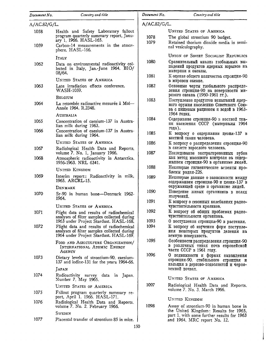| Document No. | Country and title                                                                                                                                 | Document No. | Country and title                                                                                                                        |
|--------------|---------------------------------------------------------------------------------------------------------------------------------------------------|--------------|------------------------------------------------------------------------------------------------------------------------------------------|
| A/AC.82/G/L. |                                                                                                                                                   | A/AC.82/G/L. |                                                                                                                                          |
| 1058<br>1059 | Health and Safety Laboratory fallout<br>program quarterly summary report, Janu-<br>ary 1, 1966. HASL-165.<br>Carbon-14 measurements in the atmos- | 1078<br>1079 | UNITED STATES OF AMERICA<br>The global strontium 90 budget.<br>Retained thorium dioxide media in semi-<br>nal vesiculography.            |
|              | phere. HASL-166.                                                                                                                                  |              |                                                                                                                                          |
| 1062         | <b>ITALY</b><br>Data on environmental radioactivity col-<br>lected in Italy, Jan.-June 1964. BIO/<br>08/64.                                       | 1080         | UNION OF SOVIET SOCIALIST REPUBLICS<br>Сравнительный анализ глобальных вы-<br>падений продуктов ядерных взрывов на<br>материки и океаны. |
|              | <b>UNITED STATES OF AMERICA</b>                                                                                                                   | 1081         | К оценке общего количества стронция-90<br>в мировом океане.                                                                              |
| 1063         | Late irradiation effects conference.<br>WASH-1059.                                                                                                | 1082         | Основные черты глобального распреде-<br>ления стронция-90 на поверхности ми-                                                             |
|              | <b>BELGIUM</b>                                                                                                                                    | 1083         | рового океана (1960-1961 гг.).<br>Поступление продуктов испытаний ядер-                                                                  |
| 1064         | La retombée radioactive mesurée à Mol-<br>Année 1964, R.2348.                                                                                     |              | ного оружия населению Советского Сою-<br>за с пищевым рационом и водой в 1963-<br>1964 годах.                                            |
| 1065         | AUSTRALIA<br>Concentration of caesium-137 in Austra-<br>lian milk during 1963.                                                                    | 1084         | Содержание стронция-90 в костной тка-<br>ни населения СССР (материалы 1964                                                               |
| 1066         | Concentration of caesium-137 in Austra-<br>lian milk during 1964.                                                                                 | 1085         | года).<br>К вопросу о содержании цезия-137 в<br>костной ткани человека.                                                                  |
|              | UNITED STATES OF AMERICA                                                                                                                          | 1086         | К вопросу о распределении стронция-90                                                                                                    |
| 1067<br>1068 | Radiological Health Data and Reports,<br>volume 7. No. 1, January 1966.<br>Atmospheric radioactivity in Antarctica,                               | 1087         | в скелете взрослого человека.<br>Исследование экстрагированных зубов<br>как метод массового контроля за содер-                           |
|              | 1956-1963. NRL 6341.                                                                                                                              | 1088         | жанием стронция-90 в организме людей.<br>Некоторые гигиенические аспекты про-                                                            |
| 1069         | UNITED KINGDOM<br>Interim report: Radioactivity in milk,                                                                                          |              | блемы радия-226.                                                                                                                         |
|              | 1965. ARCRL-15.                                                                                                                                   | 1089         | Некоторые данные о зависимости между<br>содержанием стронция-90 и цезия-137 в<br>окружающей среде и организме людей.                     |
| 1070         | DENMARK<br>Sr-90 in human bone—Denmark 1962-<br>1964.                                                                                             | 1090         | Поведение живых организмов в полях<br>излучений.                                                                                         |
|              | UNITED STATES OF AMERICA                                                                                                                          | 1091         | К вопросу о сезонных колебаниях радио-<br>чувствительности кроликов.                                                                     |
| 1071         | Flight data and results of radiochemical<br>analyses of filter samples collected during                                                           | 1092         | К вопросу об общих проблемах радио-<br>чувствительности организма.                                                                       |
| 1072         | 1963 under Project Stardust. HASL-168.                                                                                                            | 1093<br>1094 | О поступлении стронция-90 в растения.<br>К вопросу об изучении форм поступле-                                                            |
|              | Flight data and results of radiochemical<br>analyses of filter samples collected during<br>1964 under Project Stardust. HASL-169.                 |              | ния некоторых продуктов деления на<br>земную поверхность.                                                                                |
|              | FOOD AND AGRICULTURE ORGANIZATION/<br>INTERNATIONAL ATOMIC ENERGY<br>AGENCY                                                                       | 1095         | Особенности распределения стронция-90<br>в различных типах почв европейской<br>части СССР в 1961 году.                                   |
| 1073         | Dietary levels of strontium-90, caesium-<br>137 and iodine-131 for the years 1964-66.                                                             | 1096         | О подвижности и формах нахождения<br>стронция-90, стабильного стронция и<br>кальция в дерново-подзолистой и черно-                       |
| 1074         | JAPAN<br>Radioactivity survey data in Japan.<br>Number 7, May 1965.                                                                               |              | земной почвах.<br>UNITED STATES OF AMERICA                                                                                               |
|              | UNITED STATES OF AMERICA                                                                                                                          | 1097         | Radiological Health Data and Reports.<br>volume 7, No. 3, March 1966.                                                                    |
| 1075         | Fallout program quarterly summary re-<br>port, April 1, 1966. HASL-171.                                                                           |              | UNITED KINGDOM                                                                                                                           |
| 1076         | Radiological Health Data and Reports.<br>volume 7, No. 2, February 1966.                                                                          | 1098         | Assay of strontium-90 in human bone in                                                                                                   |
|              | Sweden                                                                                                                                            |              | the United Kingdom: Results for 1965,<br>part 1. with some further results for 1963                                                      |
| 1077         | Placental transfer of strontium 85 in mice.                                                                                                       |              | and 1964. MRC report No. 12.                                                                                                             |
|              | 150                                                                                                                                               |              |                                                                                                                                          |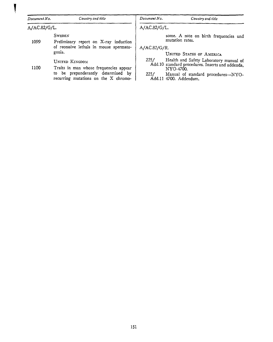#### *Dornmmt No. Country and title*

*Document No.* Country and title

A/ AC.82/G/L.

**SWEDEN** 

1099 Preliminary report on X-ray induction of recessive lethals in mouse spermatogonia.

## UNITED KINGDOM

1100 Traits in man whose frequencies appear to be preponderantly determined by recurring mutations on the X chromoA/AC.82/G/L.

some. A note on birth frequencies and mutation rates.

A/AC.82/G/R.

### UNITED STATES OF AMERICA

- *225/* Health and Safety Laboratory manual of Add.10 standard procedures. Inserts and addenda, NY0-4700.
- $225/$  Manual of standard procedures--NYO-Add.11 4700. Addendum.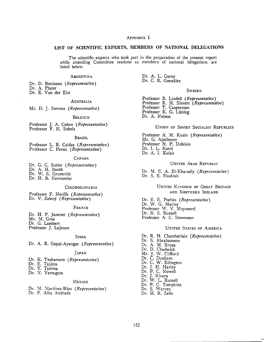#### APPENDIX I

#### LIST OF SCIENTIFIC EXPERTS, MEMBERS OF NATIONAL DELEGATIONS

The scientific experts who took part in the preparation of the present report while attending Committee sessions as members of national delegations are listed below.

#### **ARGENTINA**

Dr. D. Beninson (Representative) Dr. A. Placer

Dr. E. Van der Elst

AUSTRALIA

Mr. D. J. Stevens *(Representative)* 

#### **BELGIUM**

Professor J. A. Cohen *(Representative)*  Professor F. H. Sobels

#### BRAZIL

Professor L. R. Caldas *(Representative)*  Professor C. Pavan (Representative)

#### **CANADA**

Dr. G. C. Butler *(Representative)*  Dr. A. H. Booth Dr. W. E. Grummitt Dr. H. B. Newcombe

#### **CZECHOSLOVAKIA**

Professor F. Hercik *(Representative)*  Dr. V. Zeleny *(Representative)* 

#### FRANCE

Dr. H. P. Jammet *(Representative)*  Mr. M. Gras Dr. G. Lambert Professor J. Lejeune

#### INDIA

Dr. A. R. Gopal-Ayengar *(Representative)* 

#### JAPAN

- Dr. K. Tsukamoto *(Representative)*
- Dr. E. Tajima
- Dr. Y. Tazima
- Dr. N. Yamagata

#### **MEXICO**

Dr. M. Martinez-Báez *(Representative)* 

Dr. F. Alba Andrade

Dr. A. L. Garay Dr. C. R. González

#### **SWEDEN**

Professor B. Lindell *(Representative)*  Professor R. M. Sievert *(Representative)*  Professor<sub>[J.</sub> Caspersson] Professor K. G. Liining Dr. A. Nelson

#### UNION OF SOVIET SOCIALIST REPUBLICS

Professor A. M. Kuzin *(Representative)*  Mr. G. Apollonov Professor N. P. Dubinin Dr. I. L. Karol Dr. A. I. Kulak

#### UNITED ARAB REPUBLIC

Dr. M. E. A. El-Kharadly (Representative) Dr. S. E. Hashish

> UNITED KINGDOM OF GREAT BRITAIN AND NORTHERN IRELAND

Dr. E. E. Pochin *(Representative)*  Dr. W. G. Marley Professor W. V. Mayneord Dr. R. S. Russell Professor A. C. Stevenson

#### UNITED STATES OF AMERICA

Dr. R. H. Chamberlain *(Representative)*  Dr. S. Abrahamson Dr. A. M. Brues Dr. D. Chadwick Mr. J. W. Clifford Dr. C. Dunham Dr. C. W. Edington Dr. J. H. Harley Dr. P. C. Nowell Dr. J. Rivera Dr. W. L. Russell Dr. P. C. Tompkins Dr. S. \Varren Dr. M. R. Zelle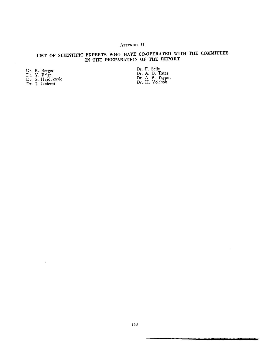# APPENDIX: II

# LIST OF SCIENTIFIC EXPERTS WHO HAVE CO-OPERATED WITH THE COMMITTEE IN THE PREPARATION OF THE REPORT

Dr. R. Berger

Dr. Y. Feige

Dr. S. Hajdukovic Dr. J. Liniecki

 $\bar{\alpha}$ 

Dr. F. Sella Dr. A. D. Tates Dr. A. B. Tsypin Dr. H. Volchok

 $\epsilon$